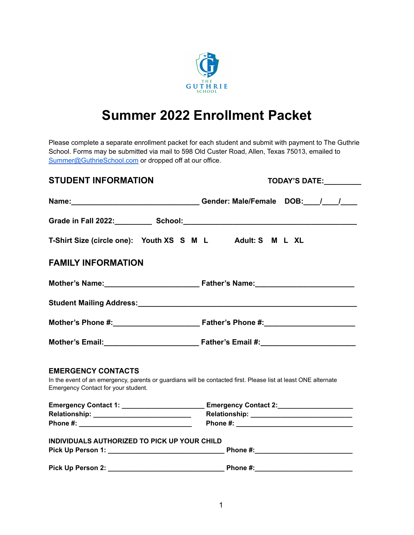

# **Summer 2022 Enrollment Packet**

Please complete a separate enrollment packet for each student and submit with payment to The Guthrie School. Forms may be submitted via mail to 598 Old Custer Road, Allen, Texas 75013, emailed to [Summer@GuthrieSchool.com](mailto:Summer@GuthrieSchool.com) or dropped off at our office.

| <b>STUDENT INFORMATION</b>                                                                                                                                                         | TODAY'S DATE: ________                                                                                                                                                                                                         |  |
|------------------------------------------------------------------------------------------------------------------------------------------------------------------------------------|--------------------------------------------------------------------------------------------------------------------------------------------------------------------------------------------------------------------------------|--|
|                                                                                                                                                                                    |                                                                                                                                                                                                                                |  |
|                                                                                                                                                                                    | Grade in Fall 2022: School: School: School: School: School: School: School: School: School: School: School: School: School: School: School: School: School: School: School: School: School: School: School: School: School: Sc |  |
| T-Shirt Size (circle one): Youth XS S M L Adult: S M L XL                                                                                                                          |                                                                                                                                                                                                                                |  |
| <b>FAMILY INFORMATION</b>                                                                                                                                                          |                                                                                                                                                                                                                                |  |
|                                                                                                                                                                                    | Mother's Name: Mother's Name: Mother's Name: Mother's Name:                                                                                                                                                                    |  |
|                                                                                                                                                                                    |                                                                                                                                                                                                                                |  |
|                                                                                                                                                                                    |                                                                                                                                                                                                                                |  |
|                                                                                                                                                                                    |                                                                                                                                                                                                                                |  |
| <b>EMERGENCY CONTACTS</b><br>In the event of an emergency, parents or guardians will be contacted first. Please list at least ONE alternate<br>Emergency Contact for your student. |                                                                                                                                                                                                                                |  |
|                                                                                                                                                                                    | Emergency Contact 1: _______________________________ Emergency Contact 2:__________________________                                                                                                                            |  |
|                                                                                                                                                                                    |                                                                                                                                                                                                                                |  |
|                                                                                                                                                                                    |                                                                                                                                                                                                                                |  |
| INDIVIDUALS AUTHORIZED TO PICK UP YOUR CHILD                                                                                                                                       |                                                                                                                                                                                                                                |  |
|                                                                                                                                                                                    |                                                                                                                                                                                                                                |  |
|                                                                                                                                                                                    |                                                                                                                                                                                                                                |  |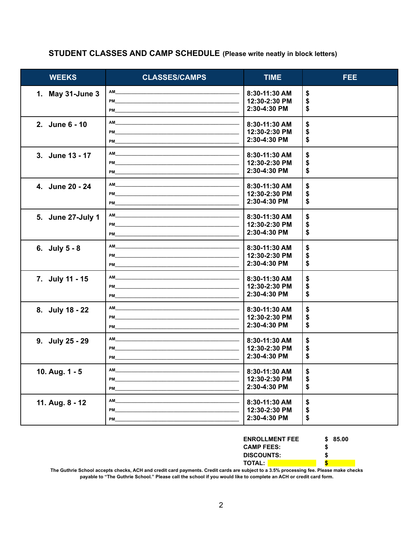### STUDENT CLASSES AND CAMP SCHEDULE (Please write neatly in block letters)

| <b>WEEKS</b>      | <b>CLASSES/CAMPS</b>                                                                                                                                                                                                                 | <b>TIME</b>   | <b>FEE</b> |
|-------------------|--------------------------------------------------------------------------------------------------------------------------------------------------------------------------------------------------------------------------------------|---------------|------------|
| 1. May 31-June 3  |                                                                                                                                                                                                                                      | 8:30-11:30 AM | \$         |
|                   |                                                                                                                                                                                                                                      | 12:30-2:30 PM | \$         |
|                   |                                                                                                                                                                                                                                      | 2:30-4:30 PM  | \$         |
| 2. June 6 - 10    |                                                                                                                                                                                                                                      | 8:30-11:30 AM | \$         |
|                   |                                                                                                                                                                                                                                      | 12:30-2:30 PM | \$         |
|                   |                                                                                                                                                                                                                                      | 2:30-4:30 PM  | \$         |
| 3. June 13 - 17   |                                                                                                                                                                                                                                      | 8:30-11:30 AM | \$         |
|                   |                                                                                                                                                                                                                                      | 12:30-2:30 PM | \$         |
|                   |                                                                                                                                                                                                                                      | 2:30-4:30 PM  | \$         |
| 4. June 20 - 24   |                                                                                                                                                                                                                                      | 8:30-11:30 AM | \$         |
|                   |                                                                                                                                                                                                                                      | 12:30-2:30 PM | \$         |
|                   |                                                                                                                                                                                                                                      | 2:30-4:30 PM  | \$         |
| 5. June 27-July 1 |                                                                                                                                                                                                                                      | 8:30-11:30 AM | \$         |
|                   | PM <b>EXAMPLE AND RESIDENT</b>                                                                                                                                                                                                       | 12:30-2:30 PM | \$         |
|                   |                                                                                                                                                                                                                                      | 2:30-4:30 PM  | \$         |
| 6. July $5 - 8$   |                                                                                                                                                                                                                                      | 8:30-11:30 AM | \$         |
|                   | PM <b>EXECUTIVE CONTRACT CONTRACT CONTRACT CONTRACT CONTRACT CONTRACT CONTRACT CONTRACT CONTRACT CONTRACT CONTRACT CONTRACT CONTRACT CONTRACT CONTRACT CONTRACT CONTRACT CONTRACT CONTRACT CONTRACT CONTRACT CONTRACT CONTRACT C</b> | 12:30-2:30 PM | \$         |
|                   |                                                                                                                                                                                                                                      | 2:30-4:30 PM  | \$         |
| 7. July 11 - 15   |                                                                                                                                                                                                                                      | 8:30-11:30 AM | \$         |
|                   |                                                                                                                                                                                                                                      | 12:30-2:30 PM | \$         |
|                   |                                                                                                                                                                                                                                      | 2:30-4:30 PM  | \$         |
| 8. July 18 - 22   |                                                                                                                                                                                                                                      | 8:30-11:30 AM | \$         |
|                   |                                                                                                                                                                                                                                      | 12:30-2:30 PM | \$         |
|                   |                                                                                                                                                                                                                                      | 2:30-4:30 PM  | \$         |
| 9. July 25 - 29   |                                                                                                                                                                                                                                      | 8:30-11:30 AM | \$         |
|                   |                                                                                                                                                                                                                                      | 12:30-2:30 PM | \$         |
|                   | <b>PM Example 2008</b>                                                                                                                                                                                                               | 2:30-4:30 PM  | \$         |
| 10. Aug. 1 - 5    | AM                                                                                                                                                                                                                                   | 8:30-11:30 AM | \$         |
|                   | PM                                                                                                                                                                                                                                   | 12:30-2:30 PM | \$         |
|                   | PM                                                                                                                                                                                                                                   | 2:30-4:30 PM  | \$         |
| 11. Aug. 8 - 12   | AM                                                                                                                                                                                                                                   | 8:30-11:30 AM | \$         |
|                   | PM                                                                                                                                                                                                                                   | 12:30-2:30 PM | \$         |
|                   | PM                                                                                                                                                                                                                                   | 2:30-4:30 PM  | \$         |

| <b>ENROLLMENT FEE</b> | \$85.00 |
|-----------------------|---------|
| <b>CAMP FEES:</b>     | S       |
| <b>DISCOUNTS:</b>     | S       |
| <b>TOTAL:</b>         |         |

The Guthrie School accepts checks, ACH and credit card payments. Credit cards are subject to a 3.5% processing fee. Please make checks payable to "The Guthrie School." Please call the school if you would like to complete an ACH or credit card form.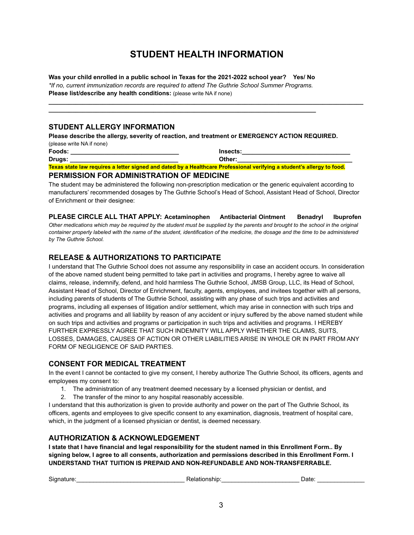# **STUDENT HEALTH INFORMATION**

**\_\_\_\_\_\_\_\_\_\_\_\_\_\_\_\_\_\_\_\_\_\_\_\_\_\_\_\_\_\_\_\_\_\_\_\_\_\_\_\_\_\_\_\_\_\_\_\_\_\_\_\_\_\_\_\_\_\_\_\_\_\_\_\_\_\_\_\_\_\_\_\_\_\_\_\_\_\_\_\_\_\_\_\_\_\_\_\_\_\_\_\_\_**

**Was your child enrolled in a public school in Texas for the 2021-2022 school year? Yes/ No** *\*If no, current immunization records are required to attend The Guthrie School Summer Programs.* **Please list/describe any health conditions:** (please write NA if none)

**\_\_\_\_\_\_\_\_\_\_\_\_\_\_\_\_\_\_\_\_\_\_\_\_\_\_\_\_\_\_\_\_\_\_\_\_\_\_\_\_\_\_\_\_\_\_\_\_\_\_\_\_\_\_\_\_\_\_\_\_\_\_\_\_\_\_\_\_\_\_\_\_\_\_\_\_\_\_\_**

#### **STUDENT ALLERGY INFORMATION**

**Please describe the allergy, severity of reaction, and treatment or EMERGENCY ACTION REQUIRED.** (please write NA if none)

| Foods:                                                                                                                        | Insects: |  |
|-------------------------------------------------------------------------------------------------------------------------------|----------|--|
| Drugs:                                                                                                                        | Other:   |  |
| <u>Texas state law requires a letter signed and dated by a Healthcare Professional verifying a student's allergy to food.</u> |          |  |
| <b>DEDMICCION EOD ADMINICTDATION OF MEDICINE</b>                                                                              |          |  |

#### **PERMISSION FOR ADMINISTRATION OF MEDICINE**

The student may be administered the following non-prescription medication or the generic equivalent according to manufacturers' recommended dosages by The Guthrie School's Head of School, Assistant Head of School, Director of Enrichment or their designee:

**PLEASE CIRCLE ALL THAT APPLY: Acetaminophen Antibacterial Ointment Benadryl Ibuprofen** Other medications which may be required by the student must be supplied by the parents and brought to the school in the original container properly labeled with the name of the student, identification of the medicine, the dosage and the time to be administered *by The Guthrie School.*

#### **RELEASE & AUTHORIZATIONS TO PARTICIPATE**

I understand that The Guthrie School does not assume any responsibility in case an accident occurs. In consideration of the above named student being permitted to take part in activities and programs, I hereby agree to waive all claims, release, indemnify, defend, and hold harmless The Guthrie School, JMSB Group, LLC, its Head of School, Assistant Head of School, Director of Enrichment, faculty, agents, employees, and invitees together with all persons, including parents of students of The Guthrie School, assisting with any phase of such trips and activities and programs, including all expenses of litigation and/or settlement, which may arise in connection with such trips and activities and programs and all liability by reason of any accident or injury suffered by the above named student while on such trips and activities and programs or participation in such trips and activities and programs. I HEREBY FURTHER EXPRESSLY AGREE THAT SUCH INDEMNITY WILL APPLY WHETHER THE CLAIMS, SUITS, LOSSES, DAMAGES, CAUSES OF ACTION OR OTHER LIABILITIES ARISE IN WHOLE OR IN PART FROM ANY FORM OF NEGLIGENCE OF SAID PARTIES.

#### **CONSENT FOR MEDICAL TREATMENT**

In the event I cannot be contacted to give my consent, I hereby authorize The Guthrie School, its officers, agents and employees my consent to:

- 1. The administration of any treatment deemed necessary by a licensed physician or dentist, and
- 2. The transfer of the minor to any hospital reasonably accessible.

I understand that this authorization is given to provide authority and power on the part of The Guthrie School, its officers, agents and employees to give specific consent to any examination, diagnosis, treatment of hospital care, which, in the judgment of a licensed physician or dentist, is deemed necessary.

#### **AUTHORIZATION & ACKNOWLEDGEMENT**

**I state that I have financial and legal responsibility for the student named in this Enrollment Form.. By signing below, I agree to all consents, authorization and permissions described in this Enrollment Form. I UNDERSTAND THAT TUITION IS PREPAID AND NON-REFUNDABLE AND NON-TRANSFERRABLE.**

| Sianat |  | --- |
|--------|--|-----|
|--------|--|-----|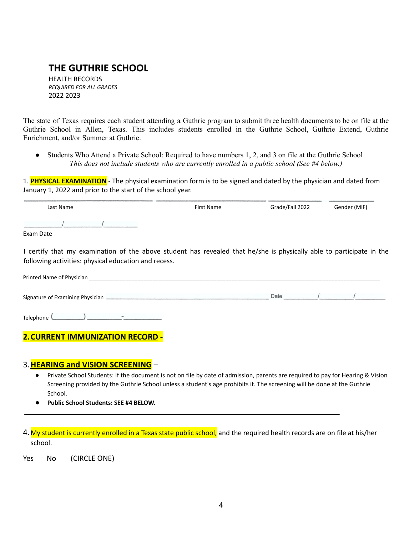# **THE GUTHRIE SCHOOL**

HEALTH RECORDS *REQUIRED FOR ALL GRADES* 2022 2023

The state of Texas requires each student attending a Guthrie program to submit three health documents to be on file at the Guthrie School in Allen, Texas. This includes students enrolled in the Guthrie School, Guthrie Extend, Guthrie Enrichment, and/or Summer at Guthrie.

*●* Students Who Attend a Private School: Required to have numbers 1, 2, and 3 on file at the Guthrie School *This does not include students who are currently enrolled in a public school (See #4 below.)*

1. **PHYSICAL EXAMINATION** - The physical examination form is to be signed and dated by the physician and dated from January 1, 2022 and prior to the start of the school year.

| Last Name                                                                                                                                                                    | First Name | Grade/Fall 2022 | Gender (MIF) |
|------------------------------------------------------------------------------------------------------------------------------------------------------------------------------|------------|-----------------|--------------|
|                                                                                                                                                                              |            |                 |              |
| Exam Date                                                                                                                                                                    |            |                 |              |
| I certify that my examination of the above student has revealed that he/she is physically able to participate in the<br>following activities: physical education and recess. |            |                 |              |

| Printed Name of Physician         |      |  |
|-----------------------------------|------|--|
| Signature of Examining Physician. | Date |  |
| Telephone <sup>(</sup><br>$-$     |      |  |

# **2.CURRENT IMMUNIZATION RECORD -**

#### 3.**HEARING and VISION SCREENING** –

- Private School Students: If the document is not on file by date of admission, parents are required to pay for Hearing & Vision Screening provided by the Guthrie School unless a student's age prohibits it. The screening will be done at the Guthrie School.
- **Public School Students: SEE #4 BELOW.**

4. My student is currently enrolled in a Texas state public school, and the required health records are on file at his/her school.

Yes No (CIRCLE ONE)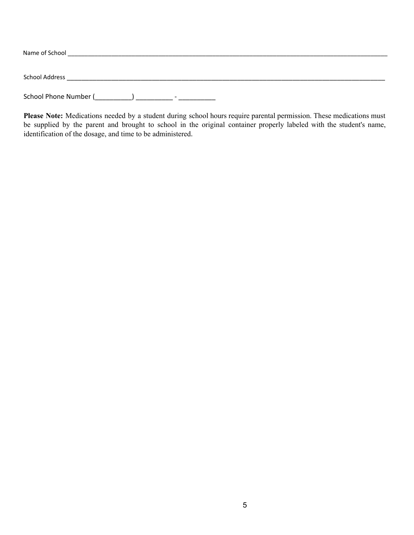| Name of School                                    |  |
|---------------------------------------------------|--|
| <b>School Address</b>                             |  |
| School Phone Number (<br>$\overline{\phantom{0}}$ |  |

**Please Note:** Medications needed by a student during school hours require parental permission. These medications must be supplied by the parent and brought to school in the original container properly labeled with the student's name, identification of the dosage, and time to be administered.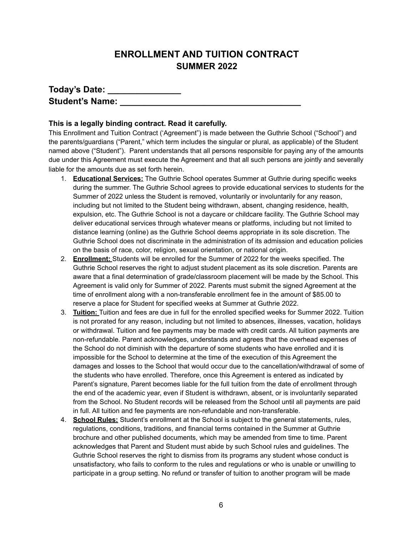# **ENROLLMENT AND TUITION CONTRACT SUMMER 2022**

| Today's Date:          |  |
|------------------------|--|
| <b>Student's Name:</b> |  |

#### **This is a legally binding contract. Read it carefully.**

This Enrollment and Tuition Contract ('Agreement") is made between the Guthrie School ("School") and the parents/guardians ("Parent," which term includes the singular or plural, as applicable) of the Student named above ("Student"). Parent understands that all persons responsible for paying any of the amounts due under this Agreement must execute the Agreement and that all such persons are jointly and severally liable for the amounts due as set forth herein.

- 1. **Educational Services:** The Guthrie School operates Summer at Guthrie during specific weeks during the summer. The Guthrie School agrees to provide educational services to students for the Summer of 2022 unless the Student is removed, voluntarily or involuntarily for any reason, including but not limited to the Student being withdrawn, absent, changing residence, health, expulsion, etc. The Guthrie School is not a daycare or childcare facility. The Guthrie School may deliver educational services through whatever means or platforms, including but not limited to distance learning (online) as the Guthrie School deems appropriate in its sole discretion. The Guthrie School does not discriminate in the administration of its admission and education policies on the basis of race, color, religion, sexual orientation, or national origin.
- 2. **Enrollment:** Students will be enrolled for the Summer of 2022 for the weeks specified. The Guthrie School reserves the right to adjust student placement as its sole discretion. Parents are aware that a final determination of grade/classroom placement will be made by the School. This Agreement is valid only for Summer of 2022. Parents must submit the signed Agreement at the time of enrollment along with a non-transferable enrollment fee in the amount of \$85.00 to reserve a place for Student for specified weeks at Summer at Guthrie 2022.
- 3. **Tuition:** Tuition and fees are due in full for the enrolled specified weeks for Summer 2022. Tuition is not prorated for any reason, including but not limited to absences, illnesses, vacation, holidays or withdrawal. Tuition and fee payments may be made with credit cards. All tuition payments are non-refundable. Parent acknowledges, understands and agrees that the overhead expenses of the School do not diminish with the departure of some students who have enrolled and it is impossible for the School to determine at the time of the execution of this Agreement the damages and losses to the School that would occur due to the cancellation/withdrawal of some of the students who have enrolled. Therefore, once this Agreement is entered as indicated by Parent's signature, Parent becomes liable for the full tuition from the date of enrollment through the end of the academic year, even if Student is withdrawn, absent, or is involuntarily separated from the School. No Student records will be released from the School until all payments are paid in full. All tuition and fee payments are non-refundable and non-transferable.
- 4. **School Rules:** Student's enrollment at the School is subject to the general statements, rules, regulations, conditions, traditions, and financial terms contained in the Summer at Guthrie brochure and other published documents, which may be amended from time to time. Parent acknowledges that Parent and Student must abide by such School rules and guidelines. The Guthrie School reserves the right to dismiss from its programs any student whose conduct is unsatisfactory, who fails to conform to the rules and regulations or who is unable or unwilling to participate in a group setting. No refund or transfer of tuition to another program will be made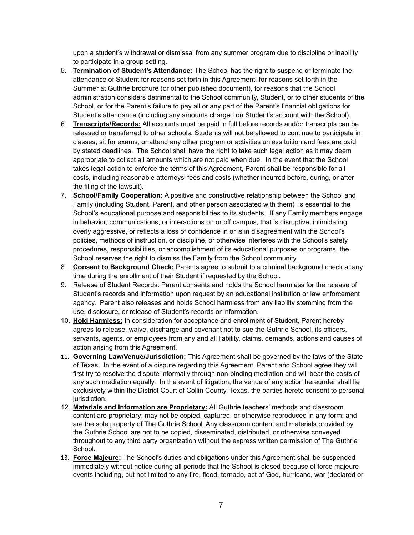upon a student's withdrawal or dismissal from any summer program due to discipline or inability to participate in a group setting.

- 5. **Termination of Student's Attendance:** The School has the right to suspend or terminate the attendance of Student for reasons set forth in this Agreement, for reasons set forth in the Summer at Guthrie brochure (or other published document), for reasons that the School administration considers detrimental to the School community, Student, or to other students of the School, or for the Parent's failure to pay all or any part of the Parent's financial obligations for Student's attendance (including any amounts charged on Student's account with the School).
- 6. **Transcripts/Records:** All accounts must be paid in full before records and/or transcripts can be released or transferred to other schools. Students will not be allowed to continue to participate in classes, sit for exams, or attend any other program or activities unless tuition and fees are paid by stated deadlines. The School shall have the right to take such legal action as it may deem appropriate to collect all amounts which are not paid when due. In the event that the School takes legal action to enforce the terms of this Agreement, Parent shall be responsible for all costs, including reasonable attorneys' fees and costs (whether incurred before, during, or after the filing of the lawsuit).
- 7. **School/Family Cooperation:** A positive and constructive relationship between the School and Family (including Student, Parent, and other person associated with them) is essential to the School's educational purpose and responsibilities to its students. If any Family members engage in behavior, communications, or interactions on or off campus, that is disruptive, intimidating, overly aggressive, or reflects a loss of confidence in or is in disagreement with the School's policies, methods of instruction, or discipline, or otherwise interferes with the School's safety procedures, responsibilities, or accomplishment of its educational purposes or programs, the School reserves the right to dismiss the Family from the School community.
- 8. **Consent to Background Check:** Parents agree to submit to a criminal background check at any time during the enrollment of their Student if requested by the School.
- 9. Release of Student Records: Parent consents and holds the School harmless for the release of Student's records and information upon request by an educational institution or law enforcement agency. Parent also releases and holds School harmless from any liability stemming from the use, disclosure, or release of Student's records or information.
- 10. **Hold Harmless:** In consideration for acceptance and enrollment of Student, Parent hereby agrees to release, waive, discharge and covenant not to sue the Guthrie School, its officers, servants, agents, or employees from any and all liability, claims, demands, actions and causes of action arising from this Agreement.
- 11. **Governing Law/Venue/Jurisdiction:** This Agreement shall be governed by the laws of the State of Texas. In the event of a dispute regarding this Agreement, Parent and School agree they will first try to resolve the dispute informally through non-binding mediation and will bear the costs of any such mediation equally. In the event of litigation, the venue of any action hereunder shall lie exclusively within the District Court of Collin County, Texas, the parties hereto consent to personal jurisdiction.
- 12. **Materials and Information are Proprietary:** All Guthrie teachers' methods and classroom content are proprietary; may not be copied, captured, or otherwise reproduced in any form; and are the sole property of The Guthrie School. Any classroom content and materials provided by the Guthrie School are not to be copied, disseminated, distributed, or otherwise conveyed throughout to any third party organization without the express written permission of The Guthrie School.
- 13. **Force Majeure:** The School's duties and obligations under this Agreement shall be suspended immediately without notice during all periods that the School is closed because of force majeure events including, but not limited to any fire, flood, tornado, act of God, hurricane, war (declared or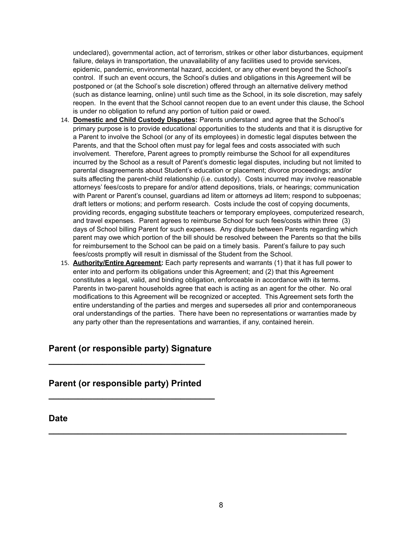undeclared), governmental action, act of terrorism, strikes or other labor disturbances, equipment failure, delays in transportation, the unavailability of any facilities used to provide services, epidemic, pandemic, environmental hazard, accident, or any other event beyond the School's control. If such an event occurs, the School's duties and obligations in this Agreement will be postponed or (at the School's sole discretion) offered through an alternative delivery method (such as distance learning, online) until such time as the School, in its sole discretion, may safely reopen. In the event that the School cannot reopen due to an event under this clause, the School is under no obligation to refund any portion of tuition paid or owed.

- 14. **Domestic and Child Custody Disputes:** Parents understand and agree that the School's primary purpose is to provide educational opportunities to the students and that it is disruptive for a Parent to involve the School (or any of its employees) in domestic legal disputes between the Parents, and that the School often must pay for legal fees and costs associated with such involvement. Therefore, Parent agrees to promptly reimburse the School for all expenditures incurred by the School as a result of Parent's domestic legal disputes, including but not limited to parental disagreements about Student's education or placement; divorce proceedings; and/or suits affecting the parent-child relationship (i.e. custody). Costs incurred may involve reasonable attorneys' fees/costs to prepare for and/or attend depositions, trials, or hearings; communication with Parent or Parent's counsel, guardians ad litem or attorneys ad litem; respond to subpoenas; draft letters or motions; and perform research. Costs include the cost of copying documents, providing records, engaging substitute teachers or temporary employees, computerized research, and travel expenses. Parent agrees to reimburse School for such fees/costs within three (3) days of School billing Parent for such expenses. Any dispute between Parents regarding which parent may owe which portion of the bill should be resolved between the Parents so that the bills for reimbursement to the School can be paid on a timely basis. Parent's failure to pay such fees/costs promptly will result in dismissal of the Student from the School.
- 15. **Authority/Entire Agreement:** Each party represents and warrants (1) that it has full power to enter into and perform its obligations under this Agreement; and (2) that this Agreement constitutes a legal, valid, and binding obligation, enforceable in accordance with its terms. Parents in two-parent households agree that each is acting as an agent for the other. No oral modifications to this Agreement will be recognized or accepted. This Agreement sets forth the entire understanding of the parties and merges and supersedes all prior and contemporaneous oral understandings of the parties. There have been no representations or warranties made by any party other than the representations and warranties, if any, contained herein.

# **Parent (or responsible party) Signature**

**\_\_\_\_\_\_\_\_\_\_\_\_\_\_\_\_\_\_\_\_\_\_\_\_\_\_\_\_\_\_\_\_**

### **Parent (or responsible party) Printed**

**\_\_\_\_\_\_\_\_\_\_\_\_\_\_\_\_\_\_\_\_\_\_\_\_\_\_\_\_\_\_\_\_\_\_**

**Date**

**\_\_\_\_\_\_\_\_\_\_\_\_\_\_\_\_\_\_\_\_\_\_\_\_\_\_\_\_\_\_\_\_\_\_\_\_\_\_\_\_\_\_\_\_\_\_\_\_\_\_\_\_\_\_\_\_\_\_\_\_\_**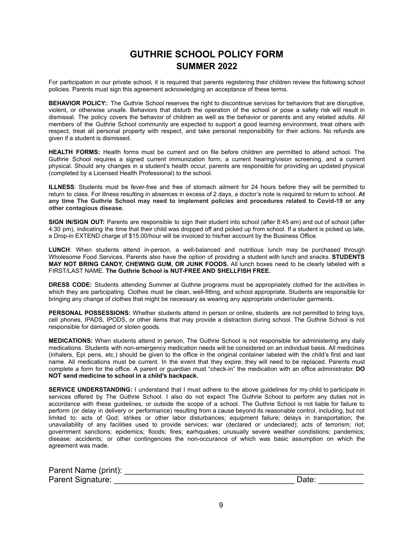# **GUTHRIE SCHOOL POLICY FORM SUMMER 2022**

For participation in our private school, it is required that parents registering their children review the following school policies. Parents must sign this agreement acknowledging an acceptance of these terms.

**BEHAVIOR POLICY:**: The Guthrie School reserves the right to discontinue services for behaviors that are disruptive, violent, or otherwise unsafe. Behaviors that disturb the operation of the school or pose a safety risk will result in dismissal. The policy covers the behavior of children as well as the behavior or parents and any related adults. All members of the Guthrie School community are expected to support a good learning environment, treat others with respect, treat all personal property with respect, and take personal responsibility for their actions. No refunds are given if a student is dismissed.

**HEALTH FORMS:** Health forms must be current and on file before children are permitted to attend school. The Guthrie School requires a signed current immunization form, a current hearing/vision screening, and a current physical. Should any changes in a student's health occur, parents are responsible for providing an updated physical (completed by a Licensed Health Professional) to the school.

**ILLNESS**: Students must be fever-free and free of stomach ailment for 24 hours before they will be permitted to return to class. For illness resulting in absences in excess of 2 days, a doctor's note is required to return to school. **At any time The Guthrie School may need to implement policies and procedures related to Covid-19 or any other contagious disease.**

**SIGN IN/SIGN OUT:** Parents are responsible to sign their student into school (after 8:45 am) and out of school (after 4:30 pm), indicating the time that their child was dropped off and picked up from school. If a student is picked up late, a Drop-in EXTEND charge of \$15.00/hour will be invoiced to his/her account by the Business Office.

**LUNCH**: When students attend in-person, a well-balanced and nutritious lunch may be purchased through Wholesome Food Services. Parents also have the option of providing a student with lunch and snacks. **STUDENTS MAY NOT BRING CANDY, CHEWING GUM, OR JUNK FOODS.** All lunch boxes need to be clearly labeled with a FIRST/LAST NAME. **The Guthrie School is NUT-FREE AND SHELLFISH FREE.**

**DRESS CODE:** Students attending Summer at Guthrie programs must be appropriately clothed for the activities in which they are participating. Clothes must be clean, well-fitting, and school appropriate. Students are responsible for bringing any change of clothes that might be necessary as wearing any appropriate under/outer garments.

**PERSONAL POSSESSIONS:** Whether students attend in person or online, students are not permitted to bring toys, cell phones, IPADS, IPODS, or other items that may provide a distraction during school. The Guthrie School is not responsible for damaged or stolen goods.

**MEDICATIONS:** When students attend in person, The Guthrie School is not responsible for administering any daily medications. Students with non-emergency medication needs will be considered on an individual basis. All medicines (inhalers, Epi pens, etc.) should be given to the office in the original container labeled with the child's first and last name. All medications must be current. In the event that they expire, they will need to be replaced. Parents must complete a form for the office. A parent or guardian must "check-in" the medication with an office administrator. **DO NOT send medicine to school in a child's backpack.**

**SERVICE UNDERSTANDING:** I understand that I must adhere to the above guidelines for my child to participate in services offered by The Guthrie School. I also do not expect The Guthrie School to perform any duties not in accordance with these guidelines, or outside the scope of a school. The Guthrie School is not liable for failure to perform (or delay in delivery or performance) resulting from a cause beyond its reasonable control, including, but not limited to: acts of God; strikes or other labor disturbances; equipment failure; delays in transportation; the unavailability of any facilities used to provide services; war (declared or undeclared); acts of terrorism; riot; government sanctions; epidemics; floods; fires; earhquakes; unusually severe weather condistions; pandemics; disease; accidents; or other contingencies the non-occurance of which was basic assumption on which the agreement was made.

| Parent Name (print): |       |
|----------------------|-------|
| Parent Signature:    | Date: |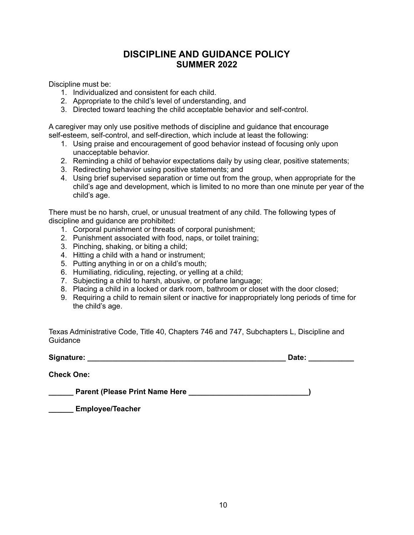# **DISCIPLINE AND GUIDANCE POLICY SUMMER 2022**

Discipline must be:

- 1. Individualized and consistent for each child.
- 2. Appropriate to the child's level of understanding, and
- 3. Directed toward teaching the child acceptable behavior and self-control.

A caregiver may only use positive methods of discipline and guidance that encourage self-esteem, self-control, and self-direction, which include at least the following:

- 1. Using praise and encouragement of good behavior instead of focusing only upon unacceptable behavior.
- 2. Reminding a child of behavior expectations daily by using clear, positive statements;
- 3. Redirecting behavior using positive statements; and
- 4. Using brief supervised separation or time out from the group, when appropriate for the child's age and development, which is limited to no more than one minute per year of the child's age.

There must be no harsh, cruel, or unusual treatment of any child. The following types of discipline and guidance are prohibited:

- 1. Corporal punishment or threats of corporal punishment;
- 2. Punishment associated with food, naps, or toilet training;
- 3. Pinching, shaking, or biting a child;
- 4. Hitting a child with a hand or instrument;
- 5. Putting anything in or on a child's mouth;
- 6. Humiliating, ridiculing, rejecting, or yelling at a child;
- 7. Subjecting a child to harsh, abusive, or profane language;
- 8. Placing a child in a locked or dark room, bathroom or closet with the door closed;
- 9. Requiring a child to remain silent or inactive for inappropriately long periods of time for the child's age.

Texas Administrative Code, Title 40, Chapters 746 and 747, Subchapters L, Discipline and Guidance

**Signature: \_\_\_\_\_\_\_\_\_\_\_\_\_\_\_\_\_\_\_\_\_\_\_\_\_\_\_\_\_\_\_\_\_\_\_\_\_\_\_\_\_\_\_\_\_\_\_\_ Date: \_\_\_\_\_\_\_\_\_\_\_**

**Check One:**

**\_\_\_\_\_\_ Parent (Please Print Name Here \_\_\_\_\_\_\_\_\_\_\_\_\_\_\_\_\_\_\_\_\_\_\_\_\_\_\_\_\_)**

**\_\_\_\_\_\_ Employee/Teacher**